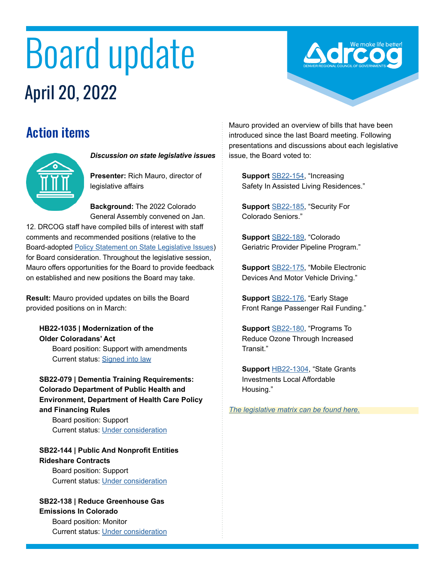# Board update April 20, 2022

## Action items



#### *Discussion on state legislative issues*

**Presenter:** Rich Mauro, director of legislative affairs

**Background:** The 2022 Colorado General Assembly convened on Jan.

12. DRCOG staff have compiled bills of interest with staff comments and recommended positions (relative to the Board-adopted [Policy Statement on State Legislative Issues\)](https://drcog.org/sites/default/files/resources/EO-RP-22STATEPOLICY-22-01-21.pdf) for Board consideration. Throughout the legislative session, Mauro offers opportunities for the Board to provide feedback on established and new positions the Board may take.

**Result:** Mauro provided updates on bills the Board provided positions on in March:

**HB22-1035 | Modernization of the Older Coloradans' Act** Board position: Support with amendments Current status: [Signed into law](https://leg.colorado.gov/bills/hb22-1035)

**SB22-079 | Dementia Training Requirements: Colorado Department of Public Health and Environment, Department of Health Care Policy and Financing Rules**

Board position: Support Current status: [Under consideration](https://leg.colorado.gov/bills/sb22-079)

#### **SB22-144 | Public And Nonprofit Entities Rideshare Contracts**

Board position: Support Current status: [Under consideration](https://leg.colorado.gov/bills/sb22-144)

### **SB22-138 | Reduce Greenhouse Gas Emissions In Colorado**

Board position: Monitor Current status: [Under consideration](https://leg.colorado.gov/bills/sb22-138) Mauro provided an overview of bills that have been introduced since the last Board meeting. Following presentations and discussions about each legislative issue, the Board voted to:

**Support** [SB22-154,](https://leg.colorado.gov/bills/sb22-154) "Increasing Safety In Assisted Living Residences."

**Support** [SB22-185,](https://leg.colorado.gov/bills/sb22-185) "Security For Colorado Seniors."

**Support** [SB22-189,](https://leg.colorado.gov/bills/sb22-189) "Colorado Geriatric Provider Pipeline Program."

**Support** [SB22-175,](https://leg.colorado.gov/bills/sb22-175) "Mobile Electronic Devices And Motor Vehicle Driving."

**Support** [SB22-176,](https://leg.colorado.gov/bills/sb22-176) "Early Stage Front Range Passenger Rail Funding."

**Support** [SB22-180,](https://leg.colorado.gov/bills/sb22-180) "Programs To Reduce Ozone Through Increased Transit."

**Support** H[B22-](https://leg.colorado.gov/bills/hb22-1304)1304, "State Grants Investments Local Affordable Housing."

*[The legislative matrix can be found here.](https://drcog.org/sites/default/files/resources/2022%20March%20Legislative%20Summary.pdf)*